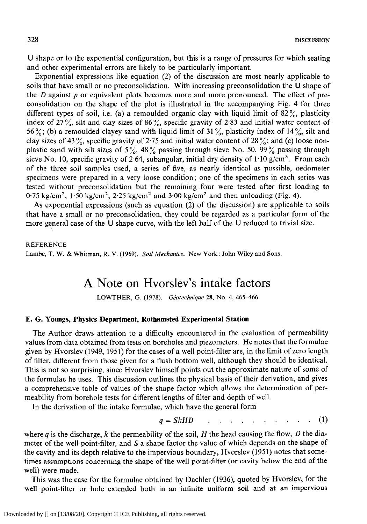U shape or to the exponential configuration, but this is a range of pressures for which seating and other experimental errors are likely to be particularly important.

Exponential expressions like equation (2) of the discussion are most nearly applicable to soils that have small or no preconsolidation. With increasing preconsolidation the U shape of the  $D$  against  $p$  or equivalent plots becomes more and more pronounced. The effect of preconsolidation on the shape of the plot is illustrated in the accompanying Fig. 4 for three different types of soil, i.e. (a) a remoulded organic clay with liquid limit of  $82\%$ , plasticity index of  $27\%$ , silt and clay sizes of  $86\%$ , specific gravity of 2.83 and initial water content of 56%; (b) a remoulded clayey sand with liquid limit of 31%, plasticity index of 14%, silt and clay sizes of 43%, specific gravity of 2.75 and initial water content of 28%; and (c) loose nonplastic sand with silt sizes of 5%, 48% passing through sieve No. 50, 99% passing through sieve No. 10, specific gravity of 2.64, subangular, initial dry density of  $1.10$  g/cm<sup>3</sup>. From each of the three soil samples used, a series of five, as nearly identical as possible, oedometer specimens were prepared in a very loose condition; one of the specimens in each series was tested without preconsolidation but the remaining four were tested after first loading to  $0.75 \text{ kg/cm}^2$ ,  $1.50 \text{ kg/cm}^2$ ,  $2.25 \text{ kg/cm}^2$  and  $3.00 \text{ kg/cm}^2$  and then unloading (Fig. 4).

As exponential expressions (such as equation (2) of the discussion) are applicable to soils that have a small or no preconsolidation, they could be regarded as a particular form of the more general case of the U shape curve, with the left half of the U reduced to trivial size.

## **REFERENCE**

Lambe, T. W. & Whitman, R. V. (1969). *Soil Mechanics. New* York: John Wiley and Sons.

# A Note on Hvorslev's intake factors

LOWTHER, G. (1978). *Géotechnique* 28, No. 4, 465-466

### **E. G. Youngs, Physics Department, Rothamsted Experimental Station**

The Author draws attention to a difficulty encountered in the evaluation of permeability values from data obtained from tests on boreholes and piezometers. He notes that the formulae given by Hvorslev (1949, 1951) for the cases of a well point-filter are, in the limit of zero length of filter, different from those given for a flush bottom well, although they should be identical. This is not so surprising, since Hvorslev himself points out the approximate nature of some of the formulae he uses. This discussion outlines the physical basis of their derivation, and gives a comprehensive table of values of the shape factor which allows the determination of permeability from borehole tests for different lengths of filter and depth of well.

In the derivation of the intake formulae, which have the general form

$$
q = SkHD \qquad . \qquad . \qquad . \qquad . \qquad . \qquad . \qquad . \qquad . \qquad (1)
$$

where  $q$  is the discharge,  $k$  the permeability of the soil,  $H$  the head causing the flow,  $D$  the diameter of the well point-filter, and S a shape factor the value of which depends on the shape of the cavity and its depth relative to the impervious boundary, Hvorslev (1951) notes that sometimes assumptions concerning the shape of the well point-filter (or cavity below the end of the well) were made.

This was the case for the formulae obtained by Dachler (1936), quoted by Hvorslev, for the well point-filter or hole extended both in an infinite uniform soil and at an impervious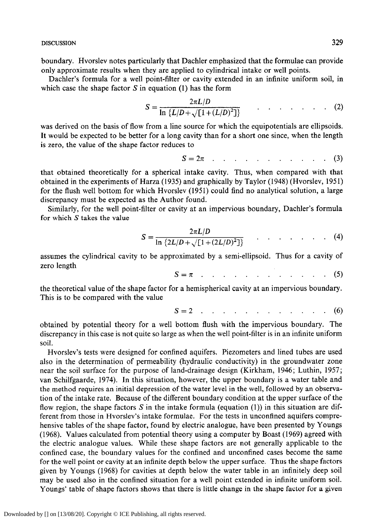boundary. Hvorslev notes particularly that Dachler emphasized that the formulae can provide only approximate results when they are applied to cylindrical intake or well points.

Dachler's formula for a well point-filter or cavity extended in an infinite uniform soil, in which case the shape factor  $S$  in equation (1) has the form

$$
S = \frac{2\pi L/D}{\ln \{L/D + \sqrt{[1 + (L/D)^2]}\}} \qquad \dots \qquad (2)
$$

was derived on the basis of flow from a line source for which the equipotentials are ellipsoids. It would be expected to be better for a long cavity than for a short one since, when the length is zero, the value of the shape factor reduces to

$$
S = 2\pi \quad . \quad . \quad . \quad . \quad . \quad . \quad . \quad . \quad . \quad . \quad . \tag{3}
$$

that obtained theoretically for a spherical intake cavity. Thus, when compared with that obtained in the experiments of Harza (1935) and graphically by Taylor (1948) (Hvorslev, 1951) for the flush well bottom for which Hvorslev (1951) could find no analytical solution, a large discrepancy must be expected as the Author found.

Similarly, for the well point-filter or cavity at an impervious boundary, Dachler's formula for which  $S$  takes the value

$$
S = \frac{2\pi L/D}{\ln\left\{2L/D + \sqrt{[1 + (2L/D)^2]}\right\}} \qquad \qquad \dots \qquad (4)
$$

assumes the cylindrical cavity to be approximated by a semi-ellipsoid. Thus for a cavity of zero length

$$
S = \pi \quad . \quad . \quad . \quad . \quad . \quad . \quad . \quad . \quad . \quad . \quad . \tag{5}
$$

the theoretical value of the shape factor for a hemispherical cavity at an impervious boundary. This is to be compared with the value

$$
S = 2 \quad \dots \quad \dots \quad \dots \quad \dots \quad \dots \quad \dots \quad (6)
$$

obtained by potential theory for a well bottom flush with the impervious boundary. The discrepancy in this case is not quite so large as when the well point-filter is in an infinite uniform soil.

Hvorslev's tests were designed for confined aquifers. Piezometers and lined tubes are used also in the determination of permeability (hydraulic conductivity) in the groundwater zone near the soil surface for the purpose of land-drainage design (Kirkham, 1946; Luthin, 1957; van Schilfgaarde, 1974). In this situation, however, the upper boundary is a water table and the method requires an initial depression of the water level in the well, followed by an observation of the intake rate. Because of the different boundary condition at the upper surface of the flow region, the shape factors S in the intake formula (equation (1)) in this situation are different from those in Hvorslev's intake formulae. For the tests in unconfined aquifers comprehensive tables of the shape factor, found by electric analogue, have been presented by Youngs (1968). Values calculated from potential theory using a computer by Boast (1969) agreed with the electric analogue values. While these shape factors are not generally applicable to the confined case, the boundary values for the confined and unconfined cases become the same for the well point or cavity at an infinite depth below the upper surface. Thus the shape factors given by Youngs (1968) for cavities at depth below the water table in an infinitely deep soil may be used also in the confined situation for a well point extended in infinite uniform soil. Youngs' table of shape factors shows that there is little change in the shape factor for a given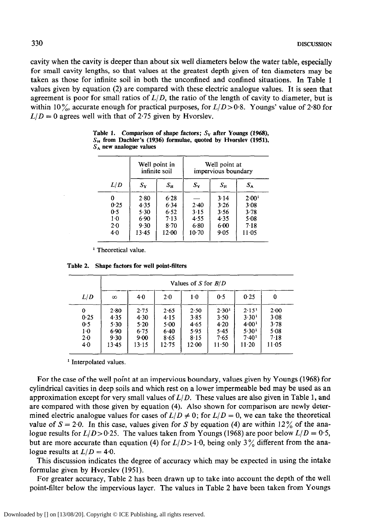cavity when the cavity is deeper than about six well diameters below the water table, especially for small cavity lengths, so that values at the greatest depth given of ten diameters may be taken as those for infinite soil in both the unconfined and confined situations. In Table 1 values given by equation (2) are compared with these electric analogue values. It is seen that agreement is poor for small ratios of *L/D,* the ratio of the length of cavity to diameter, but is within 10%, accurate enough for practical purposes, for  $L/D > 0.8$ . Youngs' value of 2.80 for  $L/D = 0$  agrees well with that of 2.75 given by Hvorslev.

| L/D   | Well point in<br>infinite soil |             | Well point at<br>impervious boundary |             |                   |  |
|-------|--------------------------------|-------------|--------------------------------------|-------------|-------------------|--|
|       | $S_{\rm Y}$                    | $S_{\rm H}$ | $S_{\rm Y}$                          | $S_{\rm H}$ | $S_A$             |  |
| 0     | 2.80                           | 6.28        |                                      | 3.14        | 2.00 <sup>1</sup> |  |
| 0.25  | 4.35                           | 6.34        | 2.40                                 | 3.26        | 3.08              |  |
| 0.5   | 5.30                           | 6.52        | 3.15                                 | 3.56        | 3.78              |  |
| $1-0$ | 6.90                           | 7.13        | 4.55                                 | 4.35        | 5.08              |  |
| 2.0   | 9.30                           | 8.70        | 6.80                                 | 6.00        | 7.18              |  |
| 4.0   | 13.45                          | 12.00       | 10.70                                | 9.05        | 11.05             |  |

Table 1. Comparison of shape factors;  $S_Y$  after Youngs (1968),  $S_H$  from Dachler's (1936) formulae, quoted by Hvorslev (1951), **SA new analogue values** 

<sup>1</sup> Theoretical value.

|                                                 | Values of S for $B/D$                           |                                               |                                               |                                                   |                                                                |                                                                                            |                                              |  |  |
|-------------------------------------------------|-------------------------------------------------|-----------------------------------------------|-----------------------------------------------|---------------------------------------------------|----------------------------------------------------------------|--------------------------------------------------------------------------------------------|----------------------------------------------|--|--|
| L/D                                             | $\infty$                                        | 40                                            | $2-0$                                         | 1.0                                               | 0.5                                                            | 0.25                                                                                       | 0                                            |  |  |
| 0<br>0.25<br>0.5<br>1 <sub>0</sub><br>20<br>4.0 | 2.80<br>4.35<br>5.30<br>6.90<br>9.30<br>$13-45$ | 2.75<br>4.30<br>5.20<br>6.75<br>9.00<br>13.15 | 2.65<br>4.15<br>5.00<br>6.40<br>8.65<br>12.75 | 2.50<br>$3 - 85$<br>4.65<br>5.95<br>8.15<br>12.00 | 2.30 <sup>1</sup><br>3.50<br>4.20<br>5.45<br>7.65<br>$11 - 50$ | 2.15 <sup>1</sup><br>3.30 <sup>1</sup><br>4.00 <sup>1</sup><br>5.301<br>7.401<br>$11 - 20$ | 200<br>3.08<br>3.78<br>5.08<br>7.18<br>11.05 |  |  |

**Table 2. Shape factors for well point-filters** 

<sup>1</sup> Interpolated values.

For the case of the well point at an impervious boundary, values given by Youngs (1968) for cylindrical cavities in deep soils and which rest on a lower impermeable bed may be used as an approximation except for very small values of *L/ D.* These values are also given in Table 1, and are compared with those given by equation (4). Also shown for comparison are newly determined electric analogue values for cases of  $L/D \neq 0$ ; for  $L/D = 0$ , we can take the theoretical value of  $S = 2.0$ . In this case, values given for S by equation (4) are within 12% of the analogue results for *L/D>O.25.* The values taken from Youngs (1968) are poor below *L/D = 0.5,*  but are more accurate than equation (4) for  $L/D > 1.0$ , being only 3% different from the analogue results at  $L/D = 4.0$ .

This discussion indicates the degree of accuracy which may be expected in using the intake formulae given by Hvorslev (1951).

For greater accuracy, Table 2 has been drawn up to take into account the depth of the well point-filter below the impervious layer. The values in Table 2 have been taken from Youngs